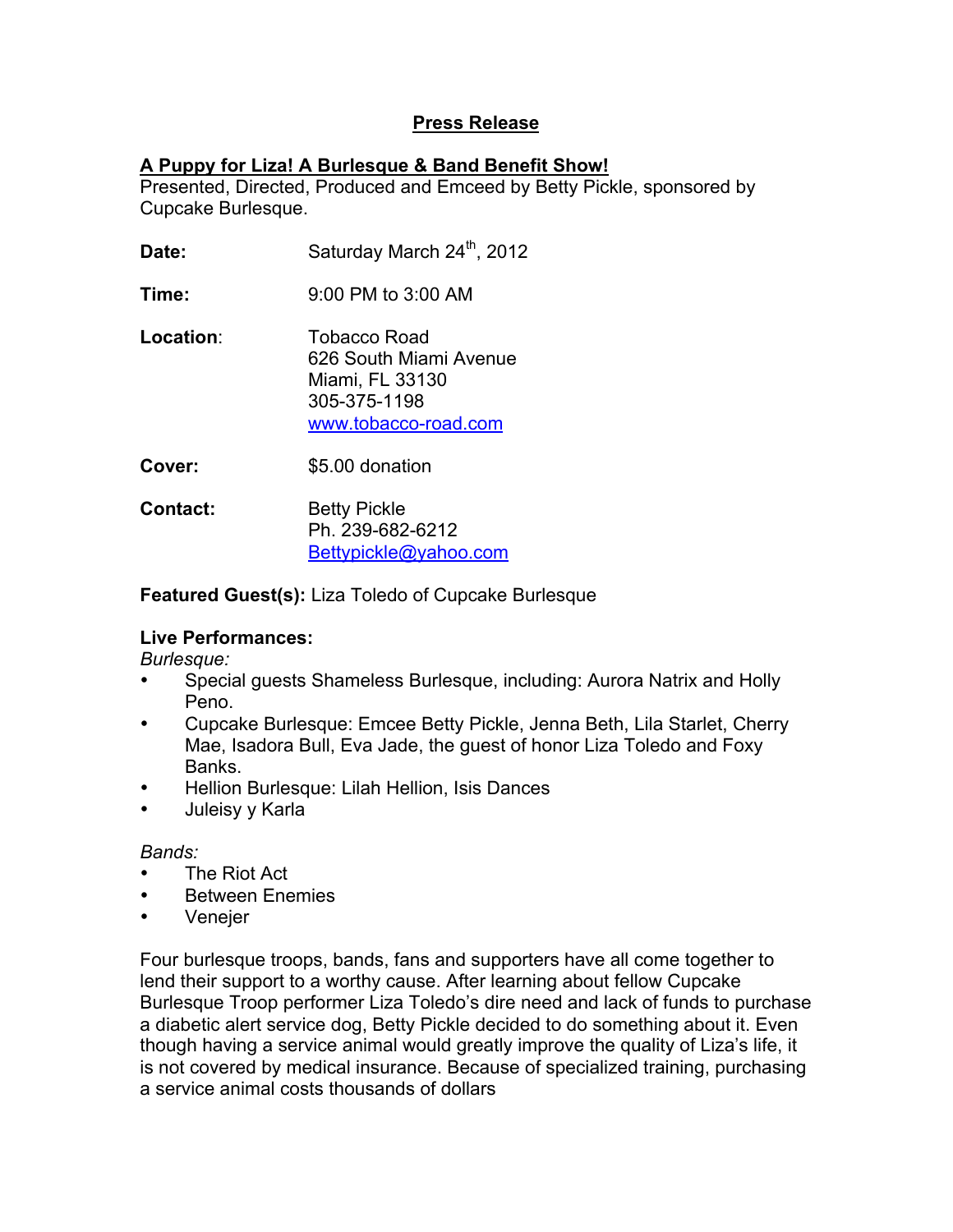## **Press Release**

## **A Puppy for Liza! A Burlesque & Band Benefit Show!**

Presented, Directed, Produced and Emceed by Betty Pickle, sponsored by Cupcake Burlesque.

- **Date:** Saturday March 24<sup>th</sup>, 2012
- **Time:** 9:00 PM to 3:00 AM

**Location**: Tobacco Road 626 South Miami Avenue Miami, FL 33130 305-375-1198 www.tobacco-road.com

- **Cover:** \$5.00 donation
- **Contact:** Betty Pickle Ph. 239-682-6212 Bettypickle@yahoo.com

**Featured Guest(s):** Liza Toledo of Cupcake Burlesque

## **Live Performances:**

*Burlesque:*

- Special guests Shameless Burlesque, including: Aurora Natrix and Holly Peno.
- Cupcake Burlesque: Emcee Betty Pickle, Jenna Beth, Lila Starlet, Cherry Mae, Isadora Bull, Eva Jade, the guest of honor Liza Toledo and Foxy Banks.
- Hellion Burlesque: Lilah Hellion, Isis Dances
- Juleisy y Karla

## *Bands:*

- The Riot Act
- Between Enemies
- Venejer

Four burlesque troops, bands, fans and supporters have all come together to lend their support to a worthy cause. After learning about fellow Cupcake Burlesque Troop performer Liza Toledo's dire need and lack of funds to purchase a diabetic alert service dog, Betty Pickle decided to do something about it. Even though having a service animal would greatly improve the quality of Liza's life, it is not covered by medical insurance. Because of specialized training, purchasing a service animal costs thousands of dollars